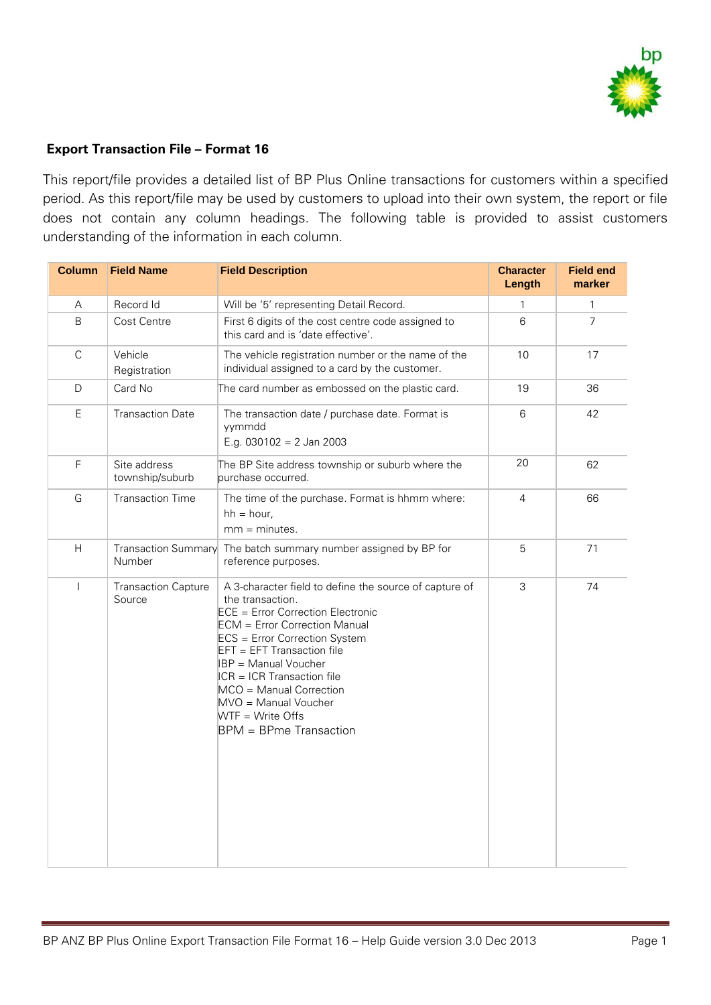

## **Export Transaction File – Format 16**

This report/file provides a detailed list of BP Plus Online transactions for customers within a specified period. As this report/file may be used by customers to upload into their own system, the report or file does not contain any column headings. The following table is provided to assist customers understanding of the information in each column.

| <b>Column</b>            | <b>Field Name</b>                    | <b>Field Description</b>                                                                                                                                                                                                                                                                                                                                                                        | <b>Character</b><br>Length | <b>Field end</b><br>marker |
|--------------------------|--------------------------------------|-------------------------------------------------------------------------------------------------------------------------------------------------------------------------------------------------------------------------------------------------------------------------------------------------------------------------------------------------------------------------------------------------|----------------------------|----------------------------|
| Α                        | Record Id                            | Will be '5' representing Detail Record.                                                                                                                                                                                                                                                                                                                                                         | $\mathbf{1}$               | $\mathbf{1}$               |
| B                        | Cost Centre                          | First 6 digits of the cost centre code assigned to<br>this card and is 'date effective'.                                                                                                                                                                                                                                                                                                        | $6\phantom{a}$             | $\overline{7}$             |
| $\mathsf C$              | Vehicle<br>Registration              | The vehicle registration number or the name of the<br>individual assigned to a card by the customer.                                                                                                                                                                                                                                                                                            | 10                         | 17                         |
| D                        | Card No                              | The card number as embossed on the plastic card.                                                                                                                                                                                                                                                                                                                                                | 19                         | 36                         |
| $\mathsf E$              | <b>Transaction Date</b>              | The transaction date / purchase date. Format is<br>vymmdd<br>E.g. $030102 = 2$ Jan 2003                                                                                                                                                                                                                                                                                                         | $\,6$                      | 42                         |
| $\mathsf F$              | Site address<br>township/suburb      | The BP Site address township or suburb where the<br>purchase occurred.                                                                                                                                                                                                                                                                                                                          | 20                         | 62                         |
| G                        | <b>Transaction Time</b>              | The time of the purchase. Format is hhmm where:<br>$hh = hour$ ,<br>$mm = minutes$ .                                                                                                                                                                                                                                                                                                            | $\overline{4}$             | 66                         |
| H                        | <b>Transaction Summary</b><br>Number | The batch summary number assigned by BP for<br>reference purposes.                                                                                                                                                                                                                                                                                                                              | 5                          | 71                         |
| $\overline{\phantom{a}}$ | <b>Transaction Capture</b><br>Source | A 3-character field to define the source of capture of<br>the transaction.<br><b>ECE = Error Correction Electronic</b><br><b>ECM</b> = Error Correction Manual<br>ECS = Error Correction System<br>EFT = EFT Transaction file<br>IBP = Manual Voucher<br>$ CR  =  CR $ Transaction file<br>MCO = Manual Correction<br>MVO = Manual Voucher<br>WTF = Write Offs<br><b>BPM</b> = BPme Transaction | 3                          | 74                         |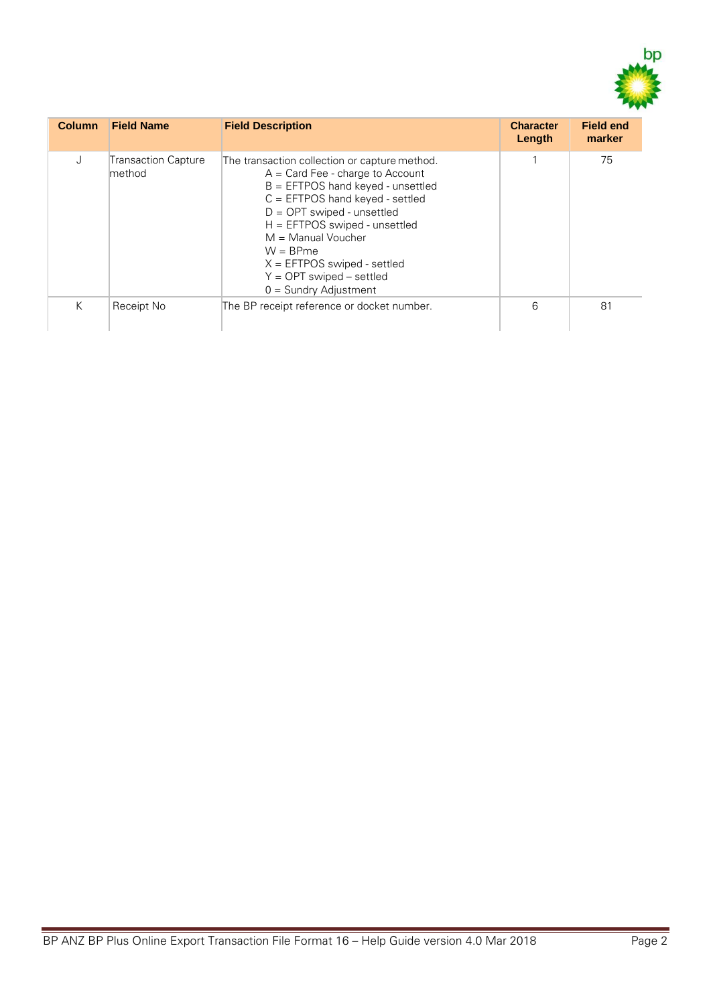

| <b>Column</b> | <b>Field Name</b>             | <b>Field Description</b>                                                                                                                                                                                                                                                                                                                                            | <b>Character</b><br>Length | <b>Field end</b><br>marker |
|---------------|-------------------------------|---------------------------------------------------------------------------------------------------------------------------------------------------------------------------------------------------------------------------------------------------------------------------------------------------------------------------------------------------------------------|----------------------------|----------------------------|
| J             | Transaction Capture<br>method | The transaction collection or capture method.<br>$A = Card$ Fee - charge to Account<br>$B = EFTPOS$ hand keyed - unsettled<br>$C = EFTPOS$ hand keyed - settled<br>$D = OPT$ swiped - unsettled<br>$H = EFTPOS$ swiped - unsettled<br>$M =$ Manual Voucher<br>$W = B Pme$<br>$X = EFTPOS$ swiped - settled<br>$Y = OPT$ swiped – settled<br>$0 =$ Sundry Adjustment |                            | 75                         |
| K             | Receipt No                    | The BP receipt reference or docket number.                                                                                                                                                                                                                                                                                                                          | 6                          | 81                         |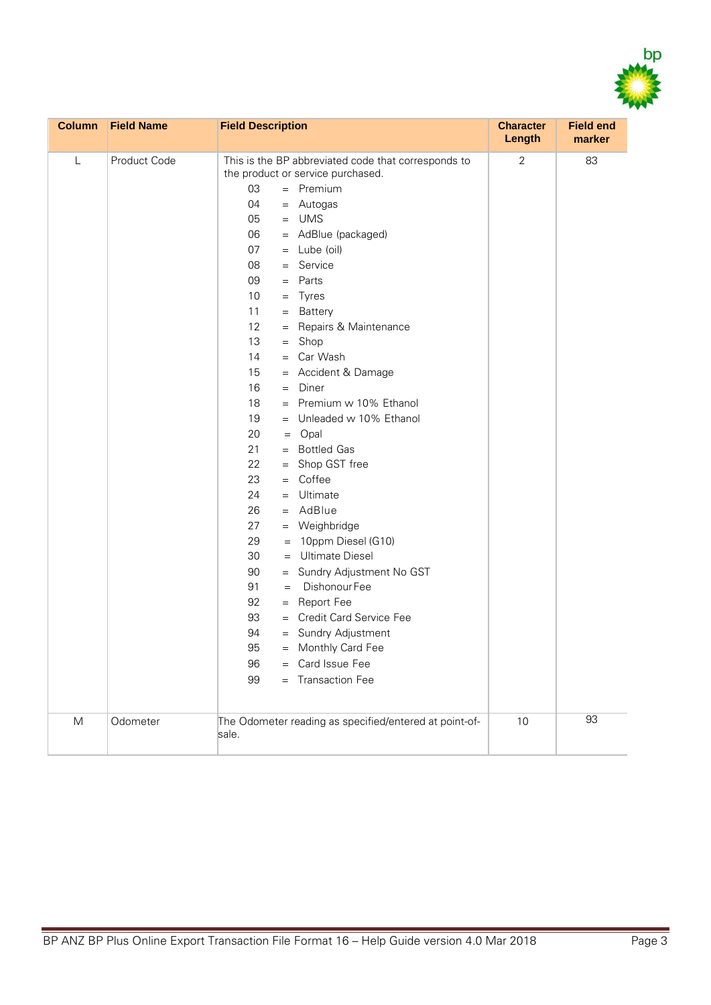

| <b>Column</b> | <b>Field Name</b> | <b>Field Description</b>                                                                                                                                                                                                                                                                                                                                                                                                                                                                                                                                                                                                                                                                                                                                                                                                                                                                                                                             | <b>Character</b><br><b>Length</b> | <b>Field end</b><br>marker |
|---------------|-------------------|------------------------------------------------------------------------------------------------------------------------------------------------------------------------------------------------------------------------------------------------------------------------------------------------------------------------------------------------------------------------------------------------------------------------------------------------------------------------------------------------------------------------------------------------------------------------------------------------------------------------------------------------------------------------------------------------------------------------------------------------------------------------------------------------------------------------------------------------------------------------------------------------------------------------------------------------------|-----------------------------------|----------------------------|
| L             | Product Code      | This is the BP abbreviated code that corresponds to<br>the product or service purchased.<br>03<br>$=$ Premium<br>04<br>= Autogas<br>$=$ UMS<br>05<br>= AdBlue (packaged)<br>06<br>07<br>$=$ Lube (oil)<br>$=$ Service<br>08<br>09<br>$=$ Parts<br>10<br>$=$ Tyres<br>11<br>= Battery<br>12<br>= Repairs & Maintenance<br>13<br>$=$ Shop<br>= Car Wash<br>14<br>= Accident & Damage<br>15<br>16<br>$=$ Diner<br>18<br>$=$ Premium w 10% Ethanol<br>19<br>= Unleaded w 10% Ethanol<br>20<br>$=$ Opal<br>21<br>= Bottled Gas<br>22<br>Shop GST free<br>$=$<br>Coffee<br>23<br>$=$<br>24<br>$=$ Ultimate<br>$=$ AdBlue<br>26<br>27<br>= Weighbridge<br>29<br>$= 10$ ppm Diesel (G10)<br>= Ultimate Diesel<br>30<br>90<br>= Sundry Adjustment No GST<br>Dishonour Fee<br>91<br>$=$<br>92<br>= Report Fee<br>93<br>= Credit Card Service Fee<br>94<br>= Sundry Adjustment<br>95<br>= Monthly Card Fee<br>= Card Issue Fee<br>96<br>= Transaction Fee<br>99 | $\overline{2}$                    | 83                         |
| M             | Odometer          | The Odometer reading as specified/entered at point-of-<br>sale.                                                                                                                                                                                                                                                                                                                                                                                                                                                                                                                                                                                                                                                                                                                                                                                                                                                                                      | 10                                | 93                         |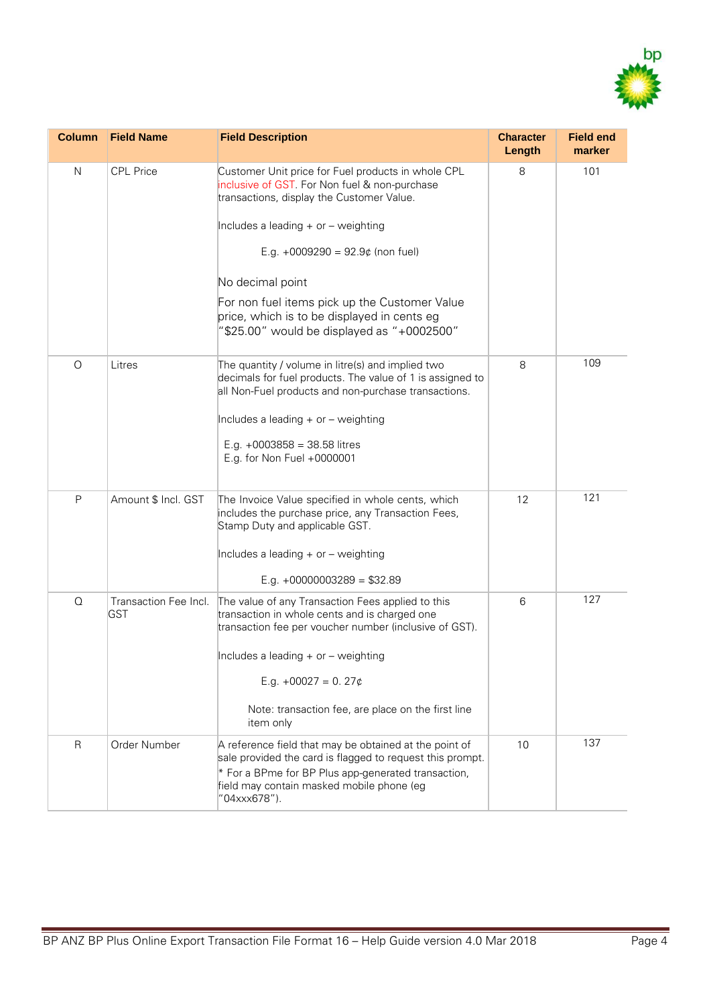

| <b>Column</b> | <b>Field Name</b>                   | <b>Field Description</b>                                                                                                                                                                                                                | <b>Character</b><br>Length | <b>Field end</b><br>marker |
|---------------|-------------------------------------|-----------------------------------------------------------------------------------------------------------------------------------------------------------------------------------------------------------------------------------------|----------------------------|----------------------------|
| N             | <b>CPL Price</b>                    | Customer Unit price for Fuel products in whole CPL<br>inclusive of GST. For Non fuel & non-purchase<br>transactions, display the Customer Value.                                                                                        | 8                          | 101                        |
|               |                                     | Includes a leading + or - weighting                                                                                                                                                                                                     |                            |                            |
|               |                                     | E.g. +0009290 = $92.9¢$ (non fuel)                                                                                                                                                                                                      |                            |                            |
|               |                                     | No decimal point                                                                                                                                                                                                                        |                            |                            |
|               |                                     | For non fuel items pick up the Customer Value<br>price, which is to be displayed in cents eg<br>"\$25.00" would be displayed as "+0002500"                                                                                              |                            |                            |
| $\circ$       | Litres                              | The quantity / volume in litre(s) and implied two<br>decimals for fuel products. The value of 1 is assigned to<br>all Non-Fuel products and non-purchase transactions.                                                                  | 8                          | 109                        |
|               |                                     | Includes a leading + or - weighting                                                                                                                                                                                                     |                            |                            |
|               |                                     | E.g. $+0003858 = 38.58$ litres<br>E.g. for Non Fuel +0000001                                                                                                                                                                            |                            |                            |
| P             | Amount \$ Incl. GST                 | The Invoice Value specified in whole cents, which<br>includes the purchase price, any Transaction Fees,<br>Stamp Duty and applicable GST.                                                                                               | 12                         | 121                        |
|               |                                     | Includes a leading + or - weighting                                                                                                                                                                                                     |                            |                            |
|               |                                     | E.g. $+00000003289 = $32.89$                                                                                                                                                                                                            |                            |                            |
| Q             | Transaction Fee Incl.<br><b>GST</b> | The value of any Transaction Fees applied to this<br>transaction in whole cents and is charged one<br>transaction fee per voucher number (inclusive of GST).                                                                            | 6                          | 127                        |
|               |                                     | Includes a leading $+$ or $-$ weighting                                                                                                                                                                                                 |                            |                            |
|               |                                     | E.g. $+00027 = 0.27¢$                                                                                                                                                                                                                   |                            |                            |
|               |                                     | Note: transaction fee, are place on the first line<br>item only                                                                                                                                                                         |                            |                            |
| $\mathsf{R}$  | Order Number                        | A reference field that may be obtained at the point of<br>sale provided the card is flagged to request this prompt.<br>* For a BPme for BP Plus app-generated transaction,<br>field may contain masked mobile phone (eg<br>"04xxx678"). | 10                         | 137                        |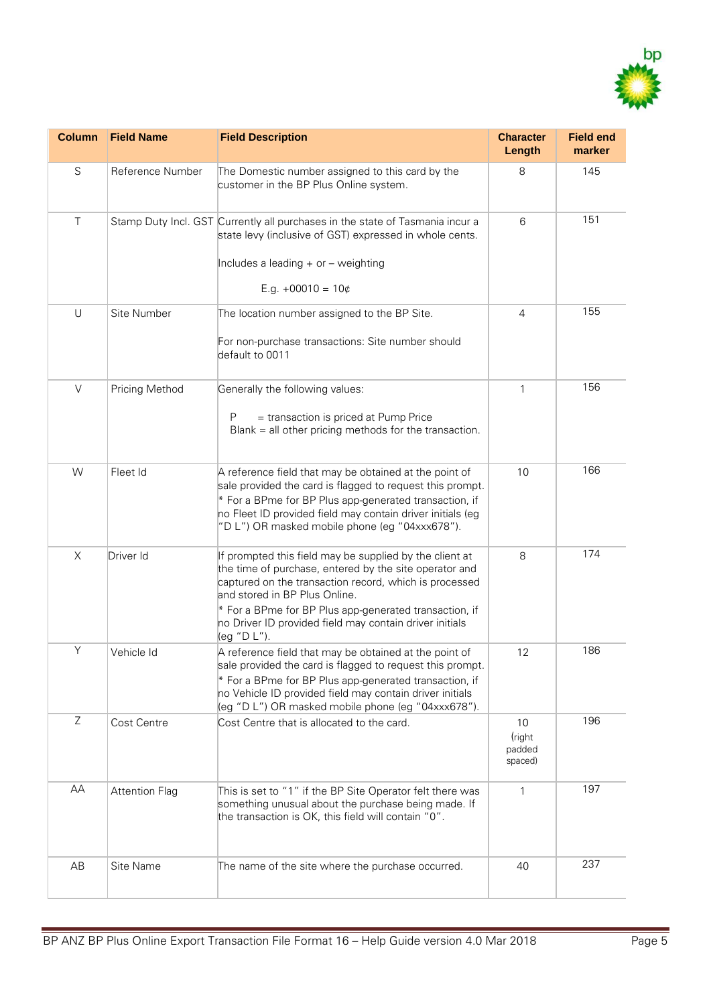

| <b>Column</b> | <b>Field Name</b>     | <b>Field Description</b>                                                                                                                                                                                                                                                                                                                         | <b>Character</b><br>Length         | <b>Field end</b><br>marker |
|---------------|-----------------------|--------------------------------------------------------------------------------------------------------------------------------------------------------------------------------------------------------------------------------------------------------------------------------------------------------------------------------------------------|------------------------------------|----------------------------|
| S             | Reference Number      | The Domestic number assigned to this card by the<br>customer in the BP Plus Online system.                                                                                                                                                                                                                                                       | 8                                  | 145                        |
| $\top$        |                       | Stamp Duty Incl. GST Currently all purchases in the state of Tasmania incur a<br>state levy (inclusive of GST) expressed in whole cents.<br>Includes a leading + or - weighting                                                                                                                                                                  | 6                                  | 151                        |
|               |                       | E.g. $+00010 = 10¢$                                                                                                                                                                                                                                                                                                                              |                                    |                            |
| $\cup$        | Site Number           | The location number assigned to the BP Site.                                                                                                                                                                                                                                                                                                     | $\overline{4}$                     | 155                        |
|               |                       | For non-purchase transactions: Site number should<br>default to 0011                                                                                                                                                                                                                                                                             |                                    |                            |
| $\vee$        | Pricing Method        | Generally the following values:                                                                                                                                                                                                                                                                                                                  | $\mathbf{1}$                       | 156                        |
|               |                       | = transaction is priced at Pump Price<br>P<br>Blank = all other pricing methods for the transaction.                                                                                                                                                                                                                                             |                                    |                            |
| W             | Fleet Id              | A reference field that may be obtained at the point of<br>sale provided the card is flagged to request this prompt.<br>* For a BPme for BP Plus app-generated transaction, if<br>no Fleet ID provided field may contain driver initials (eg<br>"D L") OR masked mobile phone (eg "04xxx678").                                                    | 10                                 | 166                        |
| X             | Driver Id             | If prompted this field may be supplied by the client at<br>the time of purchase, entered by the site operator and<br>captured on the transaction record, which is processed<br>and stored in BP Plus Online.<br>* For a BPme for BP Plus app-generated transaction, if<br>no Driver ID provided field may contain driver initials<br>(eg "D L"). | 8                                  | 174                        |
| Y             | Vehicle Id            | A reference field that may be obtained at the point of<br>sale provided the card is flagged to request this prompt.<br>* For a BPme for BP Plus app-generated transaction, if<br>no Vehicle ID provided field may contain driver initials<br>(eg "D L") OR masked mobile phone (eg "04xxx678").                                                  | 12                                 | 186                        |
| Z             | Cost Centre           | Cost Centre that is allocated to the card.                                                                                                                                                                                                                                                                                                       | 10<br>(right)<br>padded<br>spaced) | 196                        |
| AA            | <b>Attention Flag</b> | This is set to "1" if the BP Site Operator felt there was<br>something unusual about the purchase being made. If<br>the transaction is OK, this field will contain "0".                                                                                                                                                                          | 1                                  | 197                        |
| AB            | Site Name             | The name of the site where the purchase occurred.                                                                                                                                                                                                                                                                                                | 40                                 | 237                        |